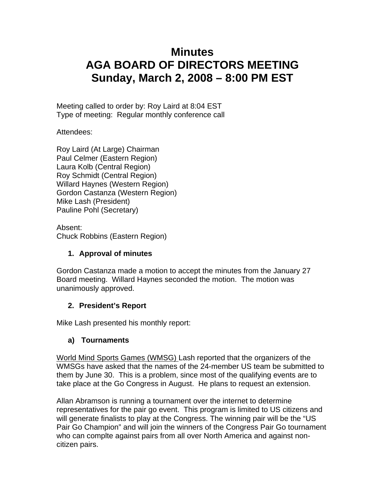# **Minutes AGA BOARD OF DIRECTORS MEETING Sunday, March 2, 2008 – 8:00 PM EST**

Meeting called to order by: Roy Laird at 8:04 EST Type of meeting: Regular monthly conference call

Attendees:

Roy Laird (At Large) Chairman Paul Celmer (Eastern Region) Laura Kolb (Central Region) Roy Schmidt (Central Region) Willard Haynes (Western Region) Gordon Castanza (Western Region) Mike Lash (President) Pauline Pohl (Secretary)

Absent: Chuck Robbins (Eastern Region)

## **1. Approval of minutes**

Gordon Castanza made a motion to accept the minutes from the January 27 Board meeting. Willard Haynes seconded the motion. The motion was unanimously approved.

## **2. President's Report**

Mike Lash presented his monthly report:

## **a) Tournaments**

World Mind Sports Games (WMSG) Lash reported that the organizers of the WMSGs have asked that the names of the 24-member US team be submitted to them by June 30. This is a problem, since most of the qualifying events are to take place at the Go Congress in August. He plans to request an extension.

Allan Abramson is running a tournament over the internet to determine representatives for the pair go event. This program is limited to US citizens and will generate finalists to play at the Congress. The winning pair will be the "US Pair Go Champion" and will join the winners of the Congress Pair Go tournament who can complte against pairs from all over North America and against noncitizen pairs.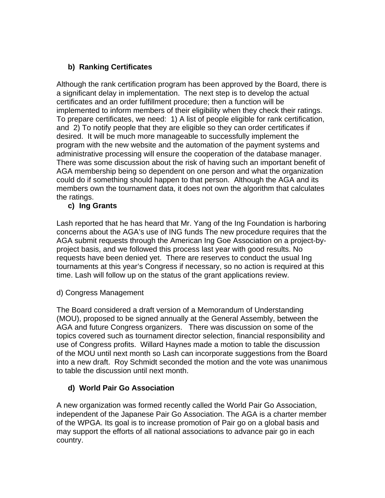# **b) Ranking Certificates**

Although the rank certification program has been approved by the Board, there is a significant delay in implementation. The next step is to develop the actual certificates and an order fulfillment procedure; then a function will be implemented to inform members of their eligibility when they check their ratings. To prepare certificates, we need: 1) A list of people eligible for rank certification, and 2) To notify people that they are eligible so they can order certificates if desired. It will be much more manageable to successfully implement the program with the new website and the automation of the payment systems and administrative processing will ensure the cooperation of the database manager. There was some discussion about the risk of having such an important benefit of AGA membership being so dependent on one person and what the organization could do if something should happen to that person. Although the AGA and its members own the tournament data, it does not own the algorithm that calculates the ratings.

## **c) Ing Grants**

Lash reported that he has heard that Mr. Yang of the Ing Foundation is harboring concerns about the AGA's use of ING funds The new procedure requires that the AGA submit requests through the American Ing Goe Association on a project-byproject basis, and we followed this process last year with good results. No requests have been denied yet. There are reserves to conduct the usual Ing tournaments at this year's Congress if necessary, so no action is required at this time. Lash will follow up on the status of the grant applications review.

## d) Congress Management

The Board considered a draft version of a Memorandum of Understanding (MOU), proposed to be signed annually at the General Assembly, between the AGA and future Congress organizers. There was discussion on some of the topics covered such as tournament director selection, financial responsibility and use of Congress profits. Willard Haynes made a motion to table the discussion of the MOU until next month so Lash can incorporate suggestions from the Board into a new draft. Roy Schmidt seconded the motion and the vote was unanimous to table the discussion until next month.

## **d) World Pair Go Association**

A new organization was formed recently called the World Pair Go Association, independent of the Japanese Pair Go Association. The AGA is a charter member of the WPGA. Its goal is to increase promotion of Pair go on a global basis and may support the efforts of all national associations to advance pair go in each country.